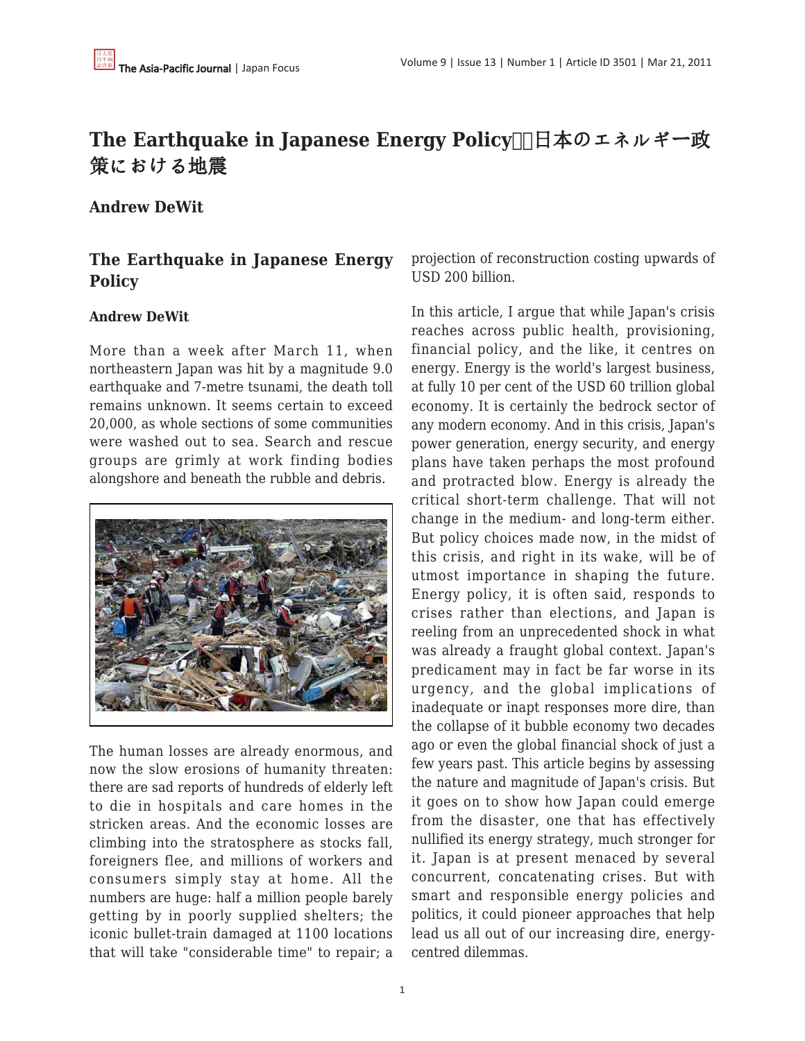# **The Earthquake in Japanese Energy Policy□日本のエネルギー政** 策における地震

## **Andrew DeWit**

## **The Earthquake in Japanese Energy Policy**

#### **Andrew DeWit**

More than a week after March 11, when northeastern Japan was hit by a magnitude 9.0 earthquake and 7-metre tsunami, the death toll remains unknown. It seems certain to exceed 20,000, as whole sections of some communities were washed out to sea. Search and rescue groups are grimly at work finding bodies alongshore and beneath the rubble and debris.



The human losses are already enormous, and now the slow erosions of humanity threaten: there are sad reports of hundreds of elderly left to die in hospitals and care homes in the stricken areas. And the economic losses are climbing into the stratosphere as stocks fall, foreigners flee, and millions of workers and consumers simply stay at home. All the numbers are huge: half a million people barely getting by in poorly supplied shelters; the iconic bullet-train damaged at 1100 locations that will take "considerable time" to repair; a projection of reconstruction costing upwards of USD 200 billion.

In this article, I argue that while Japan's crisis reaches across public health, provisioning, financial policy, and the like, it centres on energy. Energy is the world's largest business, at fully 10 per cent of the USD 60 trillion global economy. It is certainly the bedrock sector of any modern economy. And in this crisis, Japan's power generation, energy security, and energy plans have taken perhaps the most profound and protracted blow. Energy is already the critical short-term challenge. That will not change in the medium- and long-term either. But policy choices made now, in the midst of this crisis, and right in its wake, will be of utmost importance in shaping the future. Energy policy, it is often said, responds to crises rather than elections, and Japan is reeling from an unprecedented shock in what was already a fraught global context. Japan's predicament may in fact be far worse in its urgency, and the global implications of inadequate or inapt responses more dire, than the collapse of it bubble economy two decades ago or even the global financial shock of just a few years past. This article begins by assessing the nature and magnitude of Japan's crisis. But it goes on to show how Japan could emerge from the disaster, one that has effectively nullified its energy strategy, much stronger for it. Japan is at present menaced by several concurrent, concatenating crises. But with smart and responsible energy policies and politics, it could pioneer approaches that help lead us all out of our increasing dire, energycentred dilemmas.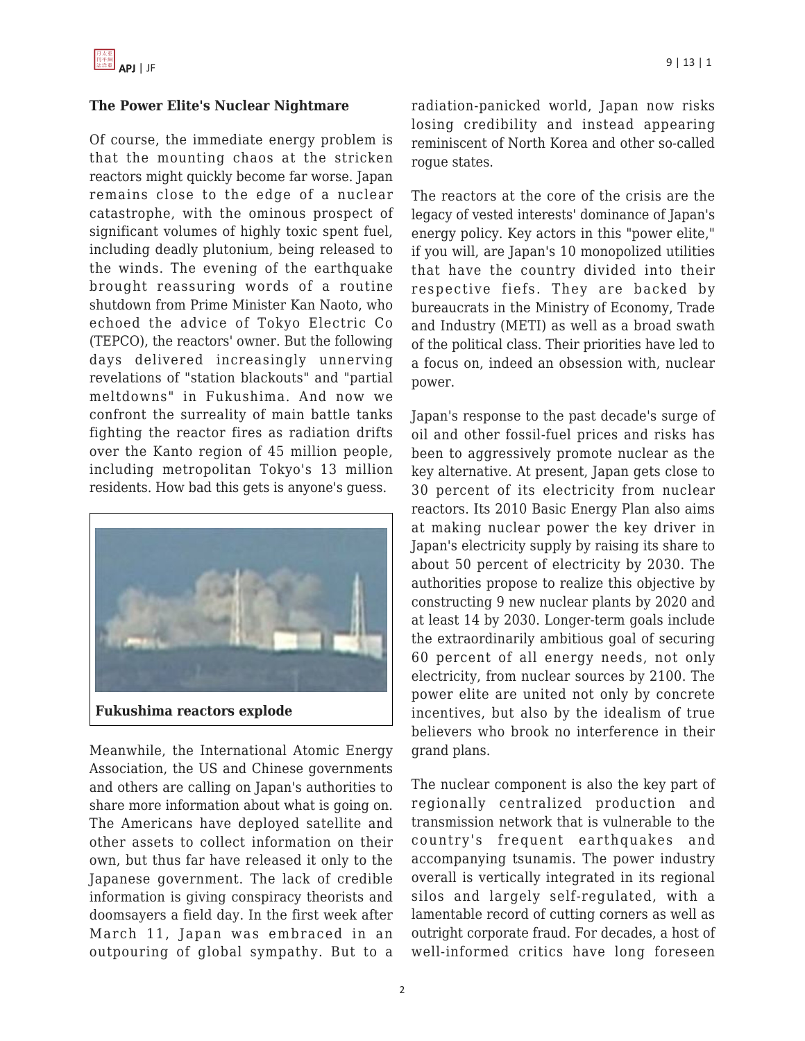### **The Power Elite's Nuclear Nightmare**

Of course, the immediate energy problem is that the mounting chaos at the stricken reactors might quickly become far worse. Japan remains close to the edge of a nuclear catastrophe, with the ominous prospect of significant volumes of highly toxic spent fuel, including deadly plutonium, being released to the winds. The evening of the earthquake brought reassuring words of a routine shutdown from Prime Minister Kan Naoto, who echoed the advice of Tokyo Electric Co (TEPCO), the reactors' owner. But the following days delivered increasingly unnerving revelations of "station blackouts" and "partial meltdowns" in Fukushima. And now we confront the surreality of main battle tanks fighting the reactor fires as radiation drifts over the Kanto region of 45 million people, including metropolitan Tokyo's 13 million residents. How bad this gets is anyone's guess.



Meanwhile, the International Atomic Energy Association, the US and Chinese governments and others are calling on Japan's authorities to share more information about what is going on. The Americans have deployed satellite and other assets to collect information on their own, but thus far have released it only to the Japanese government. The lack of credible information is giving conspiracy theorists and doomsayers a field day. In the first week after March 11, Japan was embraced in an outpouring of global sympathy. But to a

radiation-panicked world, Japan now risks losing credibility and instead appearing reminiscent of North Korea and other so-called rogue states.

The reactors at the core of the crisis are the legacy of vested interests' dominance of Japan's energy policy. Key actors in this "power elite," if you will, are Japan's 10 monopolized utilities that have the country divided into their respective fiefs. They are backed by bureaucrats in the Ministry of Economy, Trade and Industry (METI) as well as a broad swath of the political class. Their priorities have led to a focus on, indeed an obsession with, nuclear power.

Japan's response to the past decade's surge of oil and other fossil-fuel prices and risks has been to aggressively promote nuclear as the key alternative. At present, Japan gets close to 30 percent of its electricity from nuclear reactors. Its 2010 Basic Energy Plan also aims at making nuclear power the key driver in Japan's electricity supply by raising its share to about 50 percent of electricity by 2030. The authorities propose to realize this objective by constructing 9 new nuclear plants by 2020 and at least 14 by 2030. Longer-term goals include the extraordinarily ambitious goal of securing 60 percent of all energy needs, not only electricity, from nuclear sources by 2100. The power elite are united not only by concrete incentives, but also by the idealism of true believers who brook no interference in their grand plans.

The nuclear component is also the key part of regionally centralized production and transmission network that is vulnerable to the country's frequent earthquakes and accompanying tsunamis. The power industry overall is vertically integrated in its regional silos and largely self-regulated, with a lamentable record of cutting corners as well as outright corporate fraud. For decades, a host of well-informed critics have long foreseen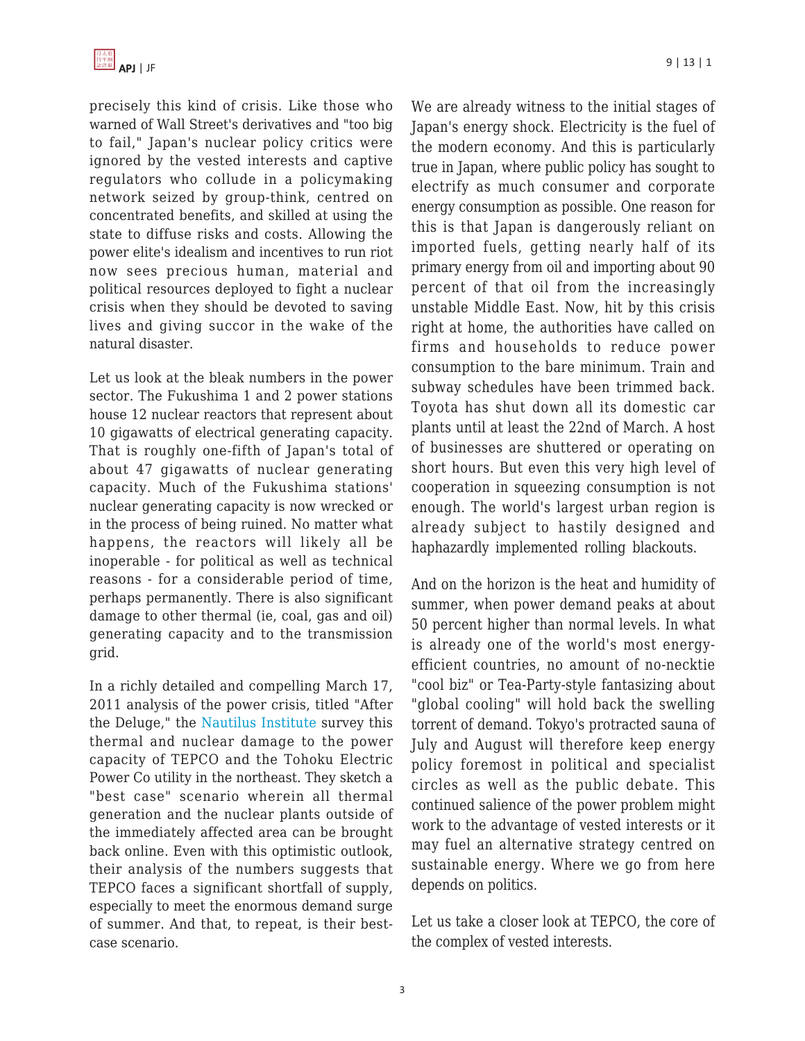

precisely this kind of crisis. Like those who warned of Wall Street's derivatives and "too big to fail," Japan's nuclear policy critics were ignored by the vested interests and captive regulators who collude in a policymaking network seized by group-think, centred on concentrated benefits, and skilled at using the state to diffuse risks and costs. Allowing the power elite's idealism and incentives to run riot now sees precious human, material and political resources deployed to fight a nuclear crisis when they should be devoted to saving lives and giving succor in the wake of the natural disaster.

Let us look at the bleak numbers in the power sector. The Fukushima 1 and 2 power stations house 12 nuclear reactors that represent about 10 gigawatts of electrical generating capacity. That is roughly one-fifth of Japan's total of about 47 gigawatts of nuclear generating capacity. Much of the Fukushima stations' nuclear generating capacity is now wrecked or in the process of being ruined. No matter what happens, the reactors will likely all be inoperable - for political as well as technical reasons - for a considerable period of time, perhaps permanently. There is also significant damage to other thermal (ie, coal, gas and oil) generating capacity and to the transmission grid.

In a richly detailed and compelling March 17, 2011 analysis of the power crisis, titled "After the Deluge," the [Nautilus Institute](http://www.nautilus.org/) survey this thermal and nuclear damage to the power capacity of TEPCO and the Tohoku Electric Power Co utility in the northeast. They sketch a "best case" scenario wherein all thermal generation and the nuclear plants outside of the immediately affected area can be brought back online. Even with this optimistic outlook, their analysis of the numbers suggests that TEPCO faces a significant shortfall of supply, especially to meet the enormous demand surge of summer. And that, to repeat, is their bestcase scenario.

We are already witness to the initial stages of Japan's energy shock. Electricity is the fuel of the modern economy. And this is particularly true in Japan, where public policy has sought to electrify as much consumer and corporate energy consumption as possible. One reason for this is that Japan is dangerously reliant on imported fuels, getting nearly half of its primary energy from oil and importing about 90 percent of that oil from the increasingly unstable Middle East. Now, hit by this crisis right at home, the authorities have called on firms and households to reduce power consumption to the bare minimum. Train and subway schedules have been trimmed back. Toyota has shut down all its domestic car plants until at least the 22nd of March. A host of businesses are shuttered or operating on short hours. But even this very high level of cooperation in squeezing consumption is not enough. The world's largest urban region is already subject to hastily designed and haphazardly implemented rolling blackouts.

And on the horizon is the heat and humidity of summer, when power demand peaks at about 50 percent higher than normal levels. In what is already one of the world's most energyefficient countries, no amount of no-necktie "cool biz" or Tea-Party-style fantasizing about "global cooling" will hold back the swelling torrent of demand. Tokyo's protracted sauna of July and August will therefore keep energy policy foremost in political and specialist circles as well as the public debate. This continued salience of the power problem might work to the advantage of vested interests or it may fuel an alternative strategy centred on sustainable energy. Where we go from here depends on politics.

Let us take a closer look at TEPCO, the core of the complex of vested interests.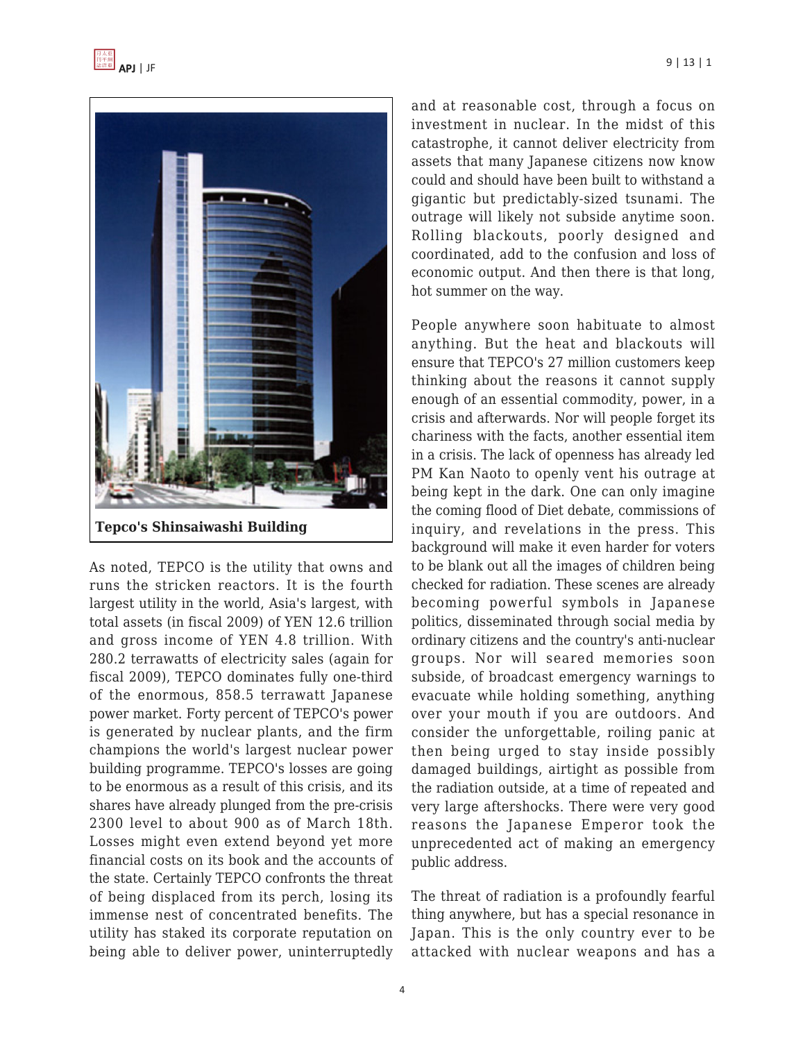

As noted, TEPCO is the utility that owns and runs the stricken reactors. It is the fourth largest utility in the world, Asia's largest, with total assets (in fiscal 2009) of YEN 12.6 trillion and gross income of YEN 4.8 trillion. With 280.2 terrawatts of electricity sales (again for fiscal 2009), TEPCO dominates fully one-third of the enormous, 858.5 terrawatt Japanese power market. Forty percent of TEPCO's power is generated by nuclear plants, and the firm champions the world's largest nuclear power building programme. TEPCO's losses are going to be enormous as a result of this crisis, and its shares have already plunged from the pre-crisis 2300 level to about 900 as of March 18th. Losses might even extend beyond yet more financial costs on its book and the accounts of the state. Certainly TEPCO confronts the threat of being displaced from its perch, losing its immense nest of concentrated benefits. The utility has staked its corporate reputation on being able to deliver power, uninterruptedly and at reasonable cost, through a focus on investment in nuclear. In the midst of this catastrophe, it cannot deliver electricity from assets that many Japanese citizens now know could and should have been built to withstand a gigantic but predictably-sized tsunami. The outrage will likely not subside anytime soon. Rolling blackouts, poorly designed and coordinated, add to the confusion and loss of economic output. And then there is that long, hot summer on the way.

People anywhere soon habituate to almost anything. But the heat and blackouts will ensure that TEPCO's 27 million customers keep thinking about the reasons it cannot supply enough of an essential commodity, power, in a crisis and afterwards. Nor will people forget its chariness with the facts, another essential item in a crisis. The lack of openness has already led PM Kan Naoto to openly vent his outrage at being kept in the dark. One can only imagine the coming flood of Diet debate, commissions of inquiry, and revelations in the press. This background will make it even harder for voters to be blank out all the images of children being checked for radiation. These scenes are already becoming powerful symbols in Japanese politics, disseminated through social media by ordinary citizens and the country's anti-nuclear groups. Nor will seared memories soon subside, of broadcast emergency warnings to evacuate while holding something, anything over your mouth if you are outdoors. And consider the unforgettable, roiling panic at then being urged to stay inside possibly damaged buildings, airtight as possible from the radiation outside, at a time of repeated and very large aftershocks. There were very good reasons the Japanese Emperor took the unprecedented act of making an emergency public address.

The threat of radiation is a profoundly fearful thing anywhere, but has a special resonance in Japan. This is the only country ever to be attacked with nuclear weapons and has a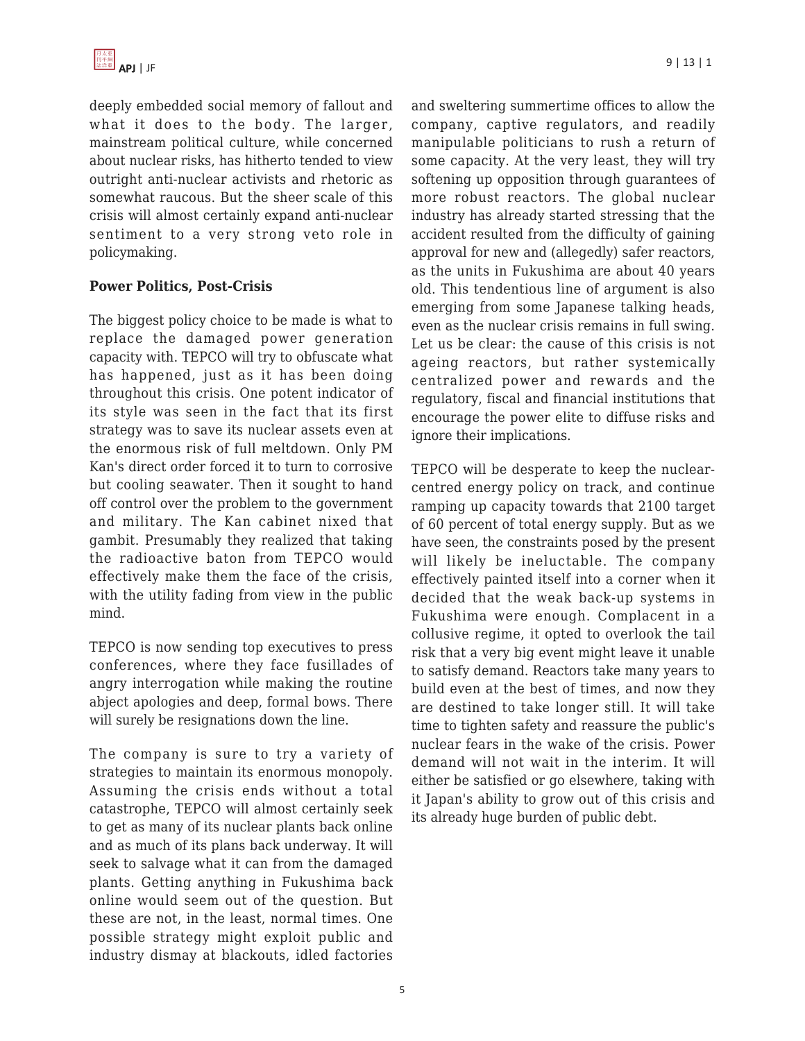deeply embedded social memory of fallout and what it does to the body. The larger, mainstream political culture, while concerned about nuclear risks, has hitherto tended to view outright anti-nuclear activists and rhetoric as somewhat raucous. But the sheer scale of this crisis will almost certainly expand anti-nuclear sentiment to a very strong veto role in policymaking.

### **Power Politics, Post-Crisis**

The biggest policy choice to be made is what to replace the damaged power generation capacity with. TEPCO will try to obfuscate what has happened, just as it has been doing throughout this crisis. One potent indicator of its style was seen in the fact that its first strategy was to save its nuclear assets even at the enormous risk of full meltdown. Only PM Kan's direct order forced it to turn to corrosive but cooling seawater. Then it sought to hand off control over the problem to the government and military. The Kan cabinet nixed that gambit. Presumably they realized that taking the radioactive baton from TEPCO would effectively make them the face of the crisis, with the utility fading from view in the public mind.

TEPCO is now sending top executives to press conferences, where they face fusillades of angry interrogation while making the routine abject apologies and deep, formal bows. There will surely be resignations down the line.

The company is sure to try a variety of strategies to maintain its enormous monopoly. Assuming the crisis ends without a total catastrophe, TEPCO will almost certainly seek to get as many of its nuclear plants back online and as much of its plans back underway. It will seek to salvage what it can from the damaged plants. Getting anything in Fukushima back online would seem out of the question. But these are not, in the least, normal times. One possible strategy might exploit public and industry dismay at blackouts, idled factories and sweltering summertime offices to allow the company, captive regulators, and readily manipulable politicians to rush a return of some capacity. At the very least, they will try softening up opposition through guarantees of more robust reactors. The global nuclear industry has already started stressing that the accident resulted from the difficulty of gaining approval for new and (allegedly) safer reactors, as the units in Fukushima are about 40 years old. This tendentious line of argument is also emerging from some Japanese talking heads, even as the nuclear crisis remains in full swing. Let us be clear: the cause of this crisis is not ageing reactors, but rather systemically centralized power and rewards and the regulatory, fiscal and financial institutions that encourage the power elite to diffuse risks and ignore their implications.

TEPCO will be desperate to keep the nuclearcentred energy policy on track, and continue ramping up capacity towards that 2100 target of 60 percent of total energy supply. But as we have seen, the constraints posed by the present will likely be ineluctable. The company effectively painted itself into a corner when it decided that the weak back-up systems in Fukushima were enough. Complacent in a collusive regime, it opted to overlook the tail risk that a very big event might leave it unable to satisfy demand. Reactors take many years to build even at the best of times, and now they are destined to take longer still. It will take time to tighten safety and reassure the public's nuclear fears in the wake of the crisis. Power demand will not wait in the interim. It will either be satisfied or go elsewhere, taking with it Japan's ability to grow out of this crisis and its already huge burden of public debt.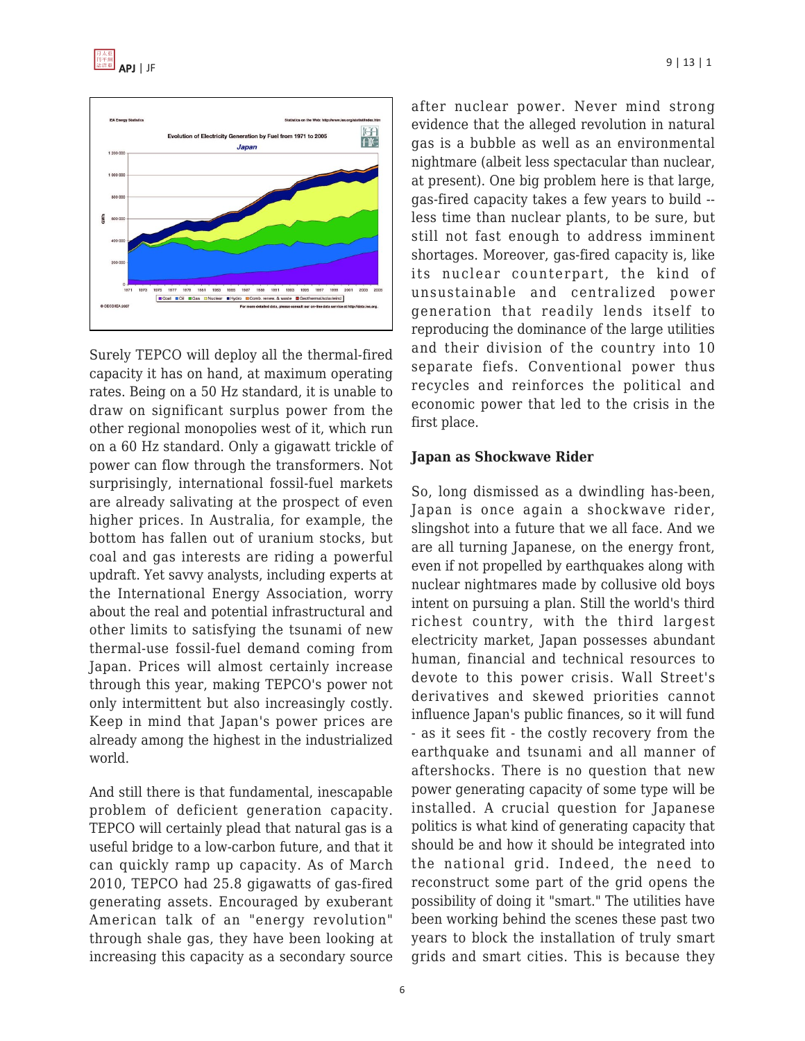



Surely TEPCO will deploy all the thermal-fired capacity it has on hand, at maximum operating rates. Being on a 50 Hz standard, it is unable to draw on significant surplus power from the other regional monopolies west of it, which run on a 60 Hz standard. Only a gigawatt trickle of power can flow through the transformers. Not surprisingly, international fossil-fuel markets are already salivating at the prospect of even higher prices. In Australia, for example, the bottom has fallen out of uranium stocks, but coal and gas interests are riding a powerful updraft. Yet savvy analysts, including experts at the International Energy Association, worry about the real and potential infrastructural and other limits to satisfying the tsunami of new thermal-use fossil-fuel demand coming from Japan. Prices will almost certainly increase through this year, making TEPCO's power not only intermittent but also increasingly costly. Keep in mind that Japan's power prices are already among the highest in the industrialized world.

And still there is that fundamental, inescapable problem of deficient generation capacity. TEPCO will certainly plead that natural gas is a useful bridge to a low-carbon future, and that it can quickly ramp up capacity. As of March 2010, TEPCO had 25.8 gigawatts of gas-fired generating assets. Encouraged by exuberant American talk of an "energy revolution" through shale gas, they have been looking at increasing this capacity as a secondary source after nuclear power. Never mind strong evidence that the alleged revolution in natural gas is a bubble as well as an environmental nightmare (albeit less spectacular than nuclear, at present). One big problem here is that large, gas-fired capacity takes a few years to build - less time than nuclear plants, to be sure, but still not fast enough to address imminent shortages. Moreover, gas-fired capacity is, like its nuclear counterpart, the kind of unsustainable and centralized power generation that readily lends itself to reproducing the dominance of the large utilities and their division of the country into 10 separate fiefs. Conventional power thus recycles and reinforces the political and economic power that led to the crisis in the first place.

#### **Japan as Shockwave Rider**

So, long dismissed as a dwindling has-been, Japan is once again a shockwave rider, slingshot into a future that we all face. And we are all turning Japanese, on the energy front, even if not propelled by earthquakes along with nuclear nightmares made by collusive old boys intent on pursuing a plan. Still the world's third richest country, with the third largest electricity market, Japan possesses abundant human, financial and technical resources to devote to this power crisis. Wall Street's derivatives and skewed priorities cannot influence Japan's public finances, so it will fund - as it sees fit - the costly recovery from the earthquake and tsunami and all manner of aftershocks. There is no question that new power generating capacity of some type will be installed. A crucial question for Japanese politics is what kind of generating capacity that should be and how it should be integrated into the national grid. Indeed, the need to reconstruct some part of the grid opens the possibility of doing it "smart." The utilities have been working behind the scenes these past two years to block the installation of truly smart grids and smart cities. This is because they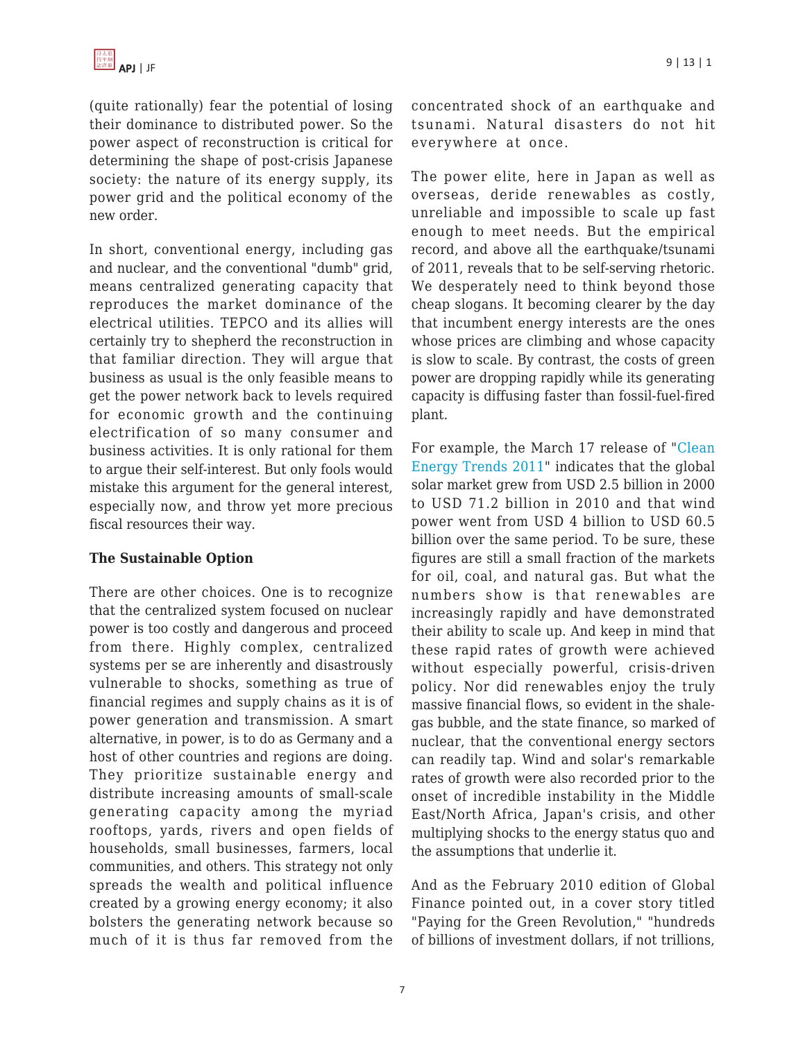(quite rationally) fear the potential of losing their dominance to distributed power. So the power aspect of reconstruction is critical for determining the shape of post-crisis Japanese society: the nature of its energy supply, its power grid and the political economy of the new order.

In short, conventional energy, including gas and nuclear, and the conventional "dumb" grid, means centralized generating capacity that reproduces the market dominance of the electrical utilities. TEPCO and its allies will certainly try to shepherd the reconstruction in that familiar direction. They will argue that business as usual is the only feasible means to get the power network back to levels required for economic growth and the continuing electrification of so many consumer and business activities. It is only rational for them to argue their self-interest. But only fools would mistake this argument for the general interest, especially now, and throw yet more precious fiscal resources their way.

### **The Sustainable Option**

There are other choices. One is to recognize that the centralized system focused on nuclear power is too costly and dangerous and proceed from there. Highly complex, centralized systems per se are inherently and disastrously vulnerable to shocks, something as true of financial regimes and supply chains as it is of power generation and transmission. A smart alternative, in power, is to do as Germany and a host of other countries and regions are doing. They prioritize sustainable energy and distribute increasing amounts of small-scale generating capacity among the myriad rooftops, yards, rivers and open fields of households, small businesses, farmers, local communities, and others. This strategy not only spreads the wealth and political influence created by a growing energy economy; it also bolsters the generating network because so much of it is thus far removed from the concentrated shock of an earthquake and tsunami. Natural disasters do not hit everywhere at once.

The power elite, here in Japan as well as overseas, deride renewables as costly, unreliable and impossible to scale up fast enough to meet needs. But the empirical record, and above all the earthquake/tsunami of 2011, reveals that to be self-serving rhetoric. We desperately need to think beyond those cheap slogans. It becoming clearer by the day that incumbent energy interests are the ones whose prices are climbing and whose capacity is slow to scale. By contrast, the costs of green power are dropping rapidly while its generating capacity is diffusing faster than fossil-fuel-fired plant.

For example, the March 17 release of ["Clean](http://cleanedge.com/reports/reports-trends2011.php) [Energy Trends 2011](http://cleanedge.com/reports/reports-trends2011.php)" indicates that the global solar market grew from USD 2.5 billion in 2000 to USD 71.2 billion in 2010 and that wind power went from USD 4 billion to USD 60.5 billion over the same period. To be sure, these figures are still a small fraction of the markets for oil, coal, and natural gas. But what the numbers show is that renewables are increasingly rapidly and have demonstrated their ability to scale up. And keep in mind that these rapid rates of growth were achieved without especially powerful, crisis-driven policy. Nor did renewables enjoy the truly massive financial flows, so evident in the shalegas bubble, and the state finance, so marked of nuclear, that the conventional energy sectors can readily tap. Wind and solar's remarkable rates of growth were also recorded prior to the onset of incredible instability in the Middle East/North Africa, Japan's crisis, and other multiplying shocks to the energy status quo and the assumptions that underlie it.

And as the February 2010 edition of Global Finance pointed out, in a cover story titled "Paying for the Green Revolution," "hundreds of billions of investment dollars, if not trillions,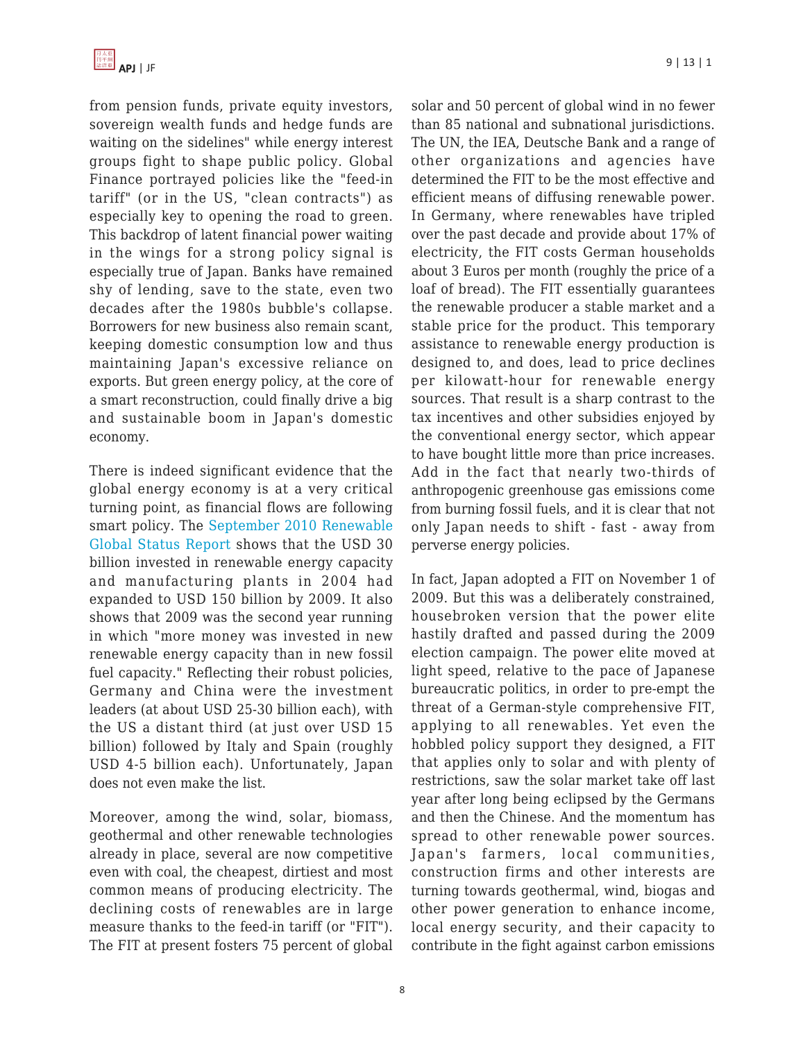from pension funds, private equity investors, sovereign wealth funds and hedge funds are waiting on the sidelines" while energy interest groups fight to shape public policy. Global Finance portrayed policies like the "feed-in tariff" (or in the US, "clean contracts") as especially key to opening the road to green. This backdrop of latent financial power waiting in the wings for a strong policy signal is especially true of Japan. Banks have remained shy of lending, save to the state, even two decades after the 1980s bubble's collapse. Borrowers for new business also remain scant, keeping domestic consumption low and thus maintaining Japan's excessive reliance on exports. But green energy policy, at the core of a smart reconstruction, could finally drive a big and sustainable boom in Japan's domestic economy.

There is indeed significant evidence that the global energy economy is at a very critical turning point, as financial flows are following smart policy. The [September 2010 Renewable](http://www.ren21.net/) [Global Status Report](http://www.ren21.net/) shows that the USD 30 billion invested in renewable energy capacity and manufacturing plants in 2004 had expanded to USD 150 billion by 2009. It also shows that 2009 was the second year running in which "more money was invested in new renewable energy capacity than in new fossil fuel capacity." Reflecting their robust policies, Germany and China were the investment leaders (at about USD 25-30 billion each), with the US a distant third (at just over USD 15 billion) followed by Italy and Spain (roughly USD 4-5 billion each). Unfortunately, Japan does not even make the list.

Moreover, among the wind, solar, biomass, geothermal and other renewable technologies already in place, several are now competitive even with coal, the cheapest, dirtiest and most common means of producing electricity. The declining costs of renewables are in large measure thanks to the feed-in tariff (or "FIT"). The FIT at present fosters 75 percent of global solar and 50 percent of global wind in no fewer than 85 national and subnational jurisdictions. The UN, the IEA, Deutsche Bank and a range of other organizations and agencies have determined the FIT to be the most effective and efficient means of diffusing renewable power. In Germany, where renewables have tripled over the past decade and provide about 17% of electricity, the FIT costs German households about 3 Euros per month (roughly the price of a loaf of bread). The FIT essentially guarantees the renewable producer a stable market and a stable price for the product. This temporary assistance to renewable energy production is designed to, and does, lead to price declines per kilowatt-hour for renewable energy sources. That result is a sharp contrast to the tax incentives and other subsidies enjoyed by the conventional energy sector, which appear to have bought little more than price increases. Add in the fact that nearly two-thirds of anthropogenic greenhouse gas emissions come from burning fossil fuels, and it is clear that not only Japan needs to shift - fast - away from perverse energy policies.

In fact, Japan adopted a FIT on November 1 of 2009. But this was a deliberately constrained, housebroken version that the power elite hastily drafted and passed during the 2009 election campaign. The power elite moved at light speed, relative to the pace of Japanese bureaucratic politics, in order to pre-empt the threat of a German-style comprehensive FIT, applying to all renewables. Yet even the hobbled policy support they designed, a FIT that applies only to solar and with plenty of restrictions, saw the solar market take off last year after long being eclipsed by the Germans and then the Chinese. And the momentum has spread to other renewable power sources. Japan's farmers, local communities, construction firms and other interests are turning towards geothermal, wind, biogas and other power generation to enhance income, local energy security, and their capacity to contribute in the fight against carbon emissions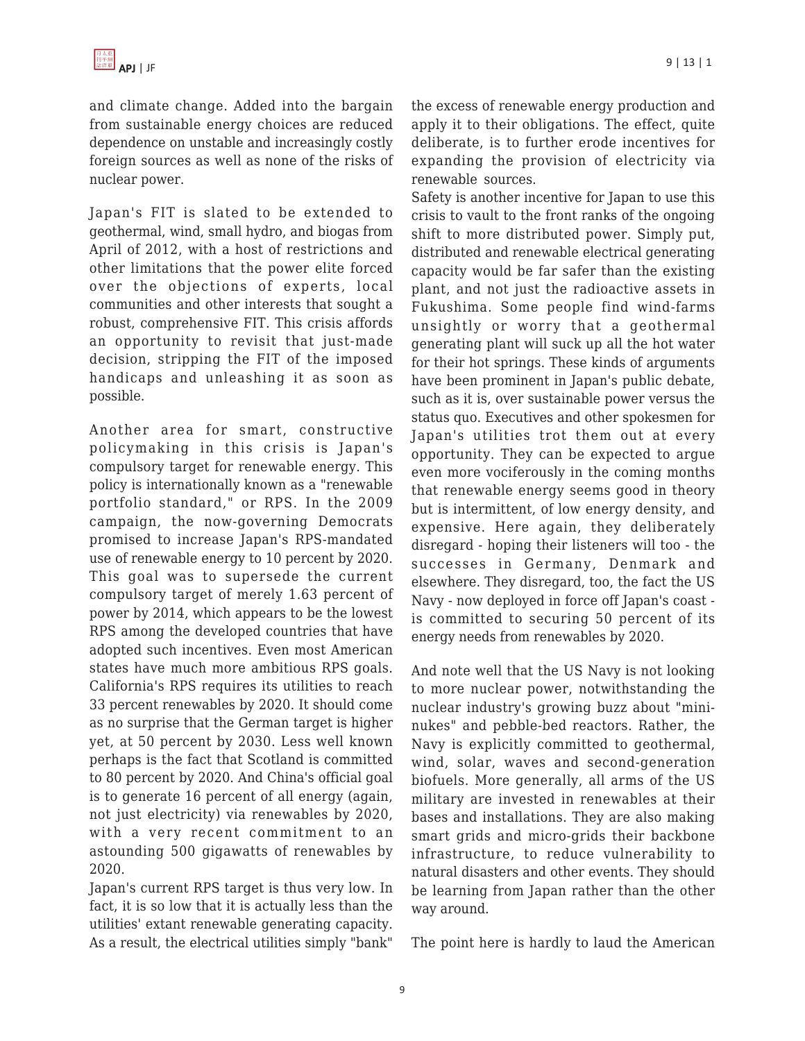and climate change. Added into the bargain from sustainable energy choices are reduced dependence on unstable and increasingly costly foreign sources as well as none of the risks of nuclear power.

Japan's FIT is slated to be extended to geothermal, wind, small hydro, and biogas from April of 2012, with a host of restrictions and other limitations that the power elite forced over the objections of experts, local communities and other interests that sought a robust, comprehensive FIT. This crisis affords an opportunity to revisit that just-made decision, stripping the FIT of the imposed handicaps and unleashing it as soon as possible.

Another area for smart, constructive policymaking in this crisis is Japan's compulsory target for renewable energy. This policy is internationally known as a "renewable portfolio standard," or RPS. In the 2009 campaign, the now-governing Democrats promised to increase Japan's RPS-mandated use of renewable energy to 10 percent by 2020. This goal was to supersede the current compulsory target of merely 1.63 percent of power by 2014, which appears to be the lowest RPS among the developed countries that have adopted such incentives. Even most American states have much more ambitious RPS goals. California's RPS requires its utilities to reach 33 percent renewables by 2020. It should come as no surprise that the German target is higher yet, at 50 percent by 2030. Less well known perhaps is the fact that Scotland is committed to 80 percent by 2020. And China's official goal is to generate 16 percent of all energy (again, not just electricity) via renewables by 2020, with a very recent commitment to an astounding 500 gigawatts of renewables by 2020.

Japan's current RPS target is thus very low. In fact, it is so low that it is actually less than the utilities' extant renewable generating capacity. As a result, the electrical utilities simply "bank"

the excess of renewable energy production and apply it to their obligations. The effect, quite deliberate, is to further erode incentives for expanding the provision of electricity via renewable sources.

Safety is another incentive for Japan to use this crisis to vault to the front ranks of the ongoing shift to more distributed power. Simply put, distributed and renewable electrical generating capacity would be far safer than the existing plant, and not just the radioactive assets in Fukushima. Some people find wind-farms unsightly or worry that a geothermal generating plant will suck up all the hot water for their hot springs. These kinds of arguments have been prominent in Japan's public debate, such as it is, over sustainable power versus the status quo. Executives and other spokesmen for Japan's utilities trot them out at every opportunity. They can be expected to argue even more vociferously in the coming months that renewable energy seems good in theory but is intermittent, of low energy density, and expensive. Here again, they deliberately disregard - hoping their listeners will too - the successes in Germany, Denmark and elsewhere. They disregard, too, the fact the US Navy - now deployed in force off Japan's coast is committed to securing 50 percent of its energy needs from renewables by 2020.

And note well that the US Navy is not looking to more nuclear power, notwithstanding the nuclear industry's growing buzz about "mininukes" and pebble-bed reactors. Rather, the Navy is explicitly committed to geothermal, wind, solar, waves and second-generation biofuels. More generally, all arms of the US military are invested in renewables at their bases and installations. They are also making smart grids and micro-grids their backbone infrastructure, to reduce vulnerability to natural disasters and other events. They should be learning from Japan rather than the other way around.

The point here is hardly to laud the American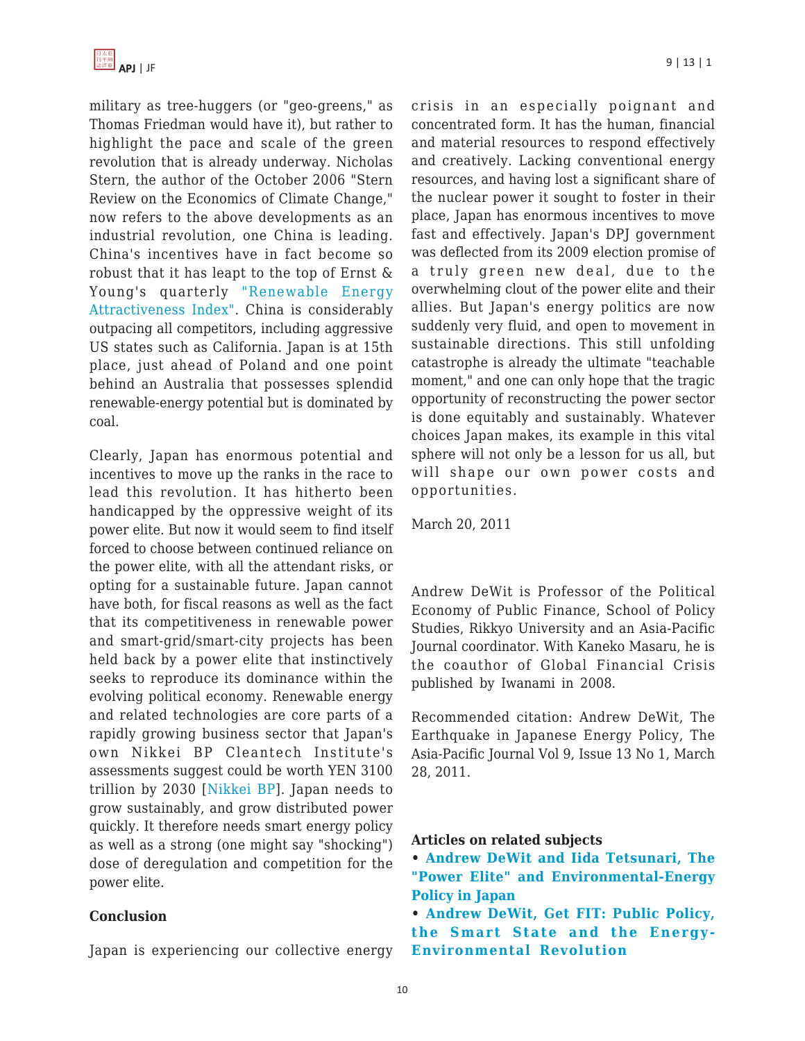military as tree-huggers (or "geo-greens," as Thomas Friedman would have it), but rather to highlight the pace and scale of the green revolution that is already underway. Nicholas Stern, the author of the October 2006 "Stern Review on the Economics of Climate Change," now refers to the above developments as an industrial revolution, one China is leading. China's incentives have in fact become so robust that it has leapt to the top of Ernst & Young's quarterly ["Renewable Energy](http://www.ey.com/GL/en/Industries/Oil---Gas/Oil_Gas_Renewable_Energy_Attractiveness-Indices) [Attractiveness Index".](http://www.ey.com/GL/en/Industries/Oil---Gas/Oil_Gas_Renewable_Energy_Attractiveness-Indices) China is considerably outpacing all competitors, including aggressive US states such as California. Japan is at 15th place, just ahead of Poland and one point behind an Australia that possesses splendid renewable-energy potential but is dominated by coal.

Clearly, Japan has enormous potential and incentives to move up the ranks in the race to lead this revolution. It has hitherto been handicapped by the oppressive weight of its power elite. But now it would seem to find itself forced to choose between continued reliance on the power elite, with all the attendant risks, or opting for a sustainable future. Japan cannot have both, for fiscal reasons as well as the fact that its competitiveness in renewable power and smart-grid/smart-city projects has been held back by a power elite that instinctively seeks to reproduce its dominance within the evolving political economy. Renewable energy and related technologies are core parts of a rapidly growing business sector that Japan's own Nikkei BP Cleantech Institute's assessments suggest could be worth YEN 3100 trillion by 2030 [[Nikkei BP\]](http://www.nikkeibp.com/news/100927.html). Japan needs to grow sustainably, and grow distributed power quickly. It therefore needs smart energy policy as well as a strong (one might say "shocking") dose of deregulation and competition for the power elite.

#### **Conclusion**

Japan is experiencing our collective energy

crisis in an especially poignant and concentrated form. It has the human, financial and material resources to respond effectively and creatively. Lacking conventional energy resources, and having lost a significant share of the nuclear power it sought to foster in their place, Japan has enormous incentives to move fast and effectively. Japan's DPJ government was deflected from its 2009 election promise of a truly green new deal, due to the overwhelming clout of the power elite and their allies. But Japan's energy politics are now suddenly very fluid, and open to movement in sustainable directions. This still unfolding catastrophe is already the ultimate "teachable moment," and one can only hope that the tragic opportunity of reconstructing the power sector is done equitably and sustainably. Whatever choices Japan makes, its example in this vital sphere will not only be a lesson for us all, but will shape our own power costs and opportunities.

March 20, 2011

Andrew DeWit is Professor of the Political Economy of Public Finance, School of Policy Studies, Rikkyo University and an Asia-Pacific Journal coordinator. With Kaneko Masaru, he is the coauthor of Global Financial Crisis published by Iwanami in 2008.

Recommended citation: Andrew DeWit, The Earthquake in Japanese Energy Policy, The Asia-Pacific Journal Vol 9, Issue 13 No 1, March 28, 2011.

#### **Articles on related subjects**

- **[Andrew DeWit and Iida Tetsunari, The](http://japanfocus.org/-Andrew-DeWit/3479) ["Power Elite" and Environmental-Energy](http://japanfocus.org/-Andrew-DeWit/3479) [Policy in Japan](http://japanfocus.org/-Andrew-DeWit/3479)**
- **[Andrew DeWit, Get FIT: Public Policy,](http://japanfocus.org/-Andrew-DeWit/3300) [the Smart State and the Energy-](http://japanfocus.org/-Andrew-DeWit/3300)[Environmental Revolution](http://japanfocus.org/-Andrew-DeWit/3300)**